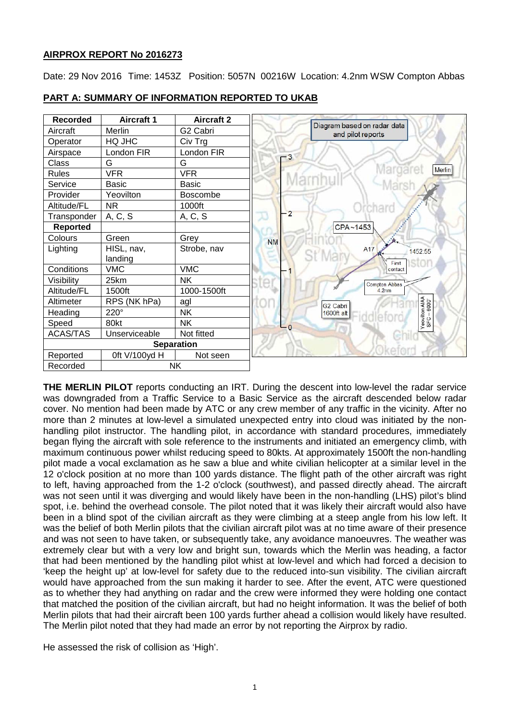# **AIRPROX REPORT No 2016273**

Date: 29 Nov 2016 Time: 1453Z Position: 5057N 00216W Location: 4.2nm WSW Compton Abbas

| <b>Recorded</b> | <b>Aircraft 1</b> | <b>Aircraft 2</b> |                |                                                  |
|-----------------|-------------------|-------------------|----------------|--------------------------------------------------|
| Aircraft        | Merlin            | G2 Cabri          |                | Diagram based on radar data<br>and pilot reports |
| Operator        | HQ JHC            | Civ Trg           |                |                                                  |
| Airspace        | London FIR        | London FIR        | $-3$           |                                                  |
| Class           | G                 | G                 |                |                                                  |
| <b>Rules</b>    | <b>VFR</b>        | <b>VFR</b>        |                | Mar<br>Merlin                                    |
| Service         | <b>Basic</b>      | Basic             |                |                                                  |
| Provider        | Yeovilton         | <b>Boscombe</b>   |                |                                                  |
| Altitude/FL     | NR.               | 1000ft            |                | chard                                            |
| Transponder     | A, C, S           | A, C, S           | $\overline{2}$ |                                                  |
| <b>Reported</b> |                   |                   |                | CPA~1453                                         |
| Colours         | Green             | Grey              | <b>NM</b>      |                                                  |
| Lighting        | HISL, nav,        | Strobe, nav       |                | A17<br>1452:55                                   |
|                 | landing           |                   |                | First                                            |
| Conditions      | <b>VMC</b>        | <b>VMC</b>        |                | contact                                          |
| Visibility      | 25km              | <b>NK</b>         |                | Compton Abbas                                    |
| Altitude/FL     | 1500ft            | 1000-1500ft       |                | 4.2nm                                            |
| Altimeter       | RPS (NK hPa)      | agl               |                | G <sub>2</sub> Cabri                             |
| Heading         | 220°              | <b>NK</b>         |                | 1600ft alt                                       |
| Speed           | 80kt              | <b>NK</b>         | $\Omega$       | Yeovilton AIAA<br>SFC – 6000'                    |
| <b>ACAS/TAS</b> | Unserviceable     | Not fitted        |                |                                                  |
|                 |                   | <b>Separation</b> |                |                                                  |
| Reported        | 0ft V/100yd H     | Not seen          |                |                                                  |
| Recorded        |                   | <b>NK</b>         |                |                                                  |

## **PART A: SUMMARY OF INFORMATION REPORTED TO UKAB**

**THE MERLIN PILOT** reports conducting an IRT. During the descent into low-level the radar service was downgraded from a Traffic Service to a Basic Service as the aircraft descended below radar cover. No mention had been made by ATC or any crew member of any traffic in the vicinity. After no more than 2 minutes at low-level a simulated unexpected entry into cloud was initiated by the nonhandling pilot instructor. The handling pilot, in accordance with standard procedures, immediately began flying the aircraft with sole reference to the instruments and initiated an emergency climb, with maximum continuous power whilst reducing speed to 80kts. At approximately 1500ft the non-handling pilot made a vocal exclamation as he saw a blue and white civilian helicopter at a similar level in the 12 o'clock position at no more than 100 yards distance. The flight path of the other aircraft was right to left, having approached from the 1-2 o'clock (southwest), and passed directly ahead. The aircraft was not seen until it was diverging and would likely have been in the non-handling (LHS) pilot's blind spot, i.e. behind the overhead console. The pilot noted that it was likely their aircraft would also have been in a blind spot of the civilian aircraft as they were climbing at a steep angle from his low left. It was the belief of both Merlin pilots that the civilian aircraft pilot was at no time aware of their presence and was not seen to have taken, or subsequently take, any avoidance manoeuvres. The weather was extremely clear but with a very low and bright sun, towards which the Merlin was heading, a factor that had been mentioned by the handling pilot whist at low-level and which had forced a decision to 'keep the height up' at low-level for safety due to the reduced into-sun visibility. The civilian aircraft would have approached from the sun making it harder to see. After the event, ATC were questioned as to whether they had anything on radar and the crew were informed they were holding one contact that matched the position of the civilian aircraft, but had no height information. It was the belief of both Merlin pilots that had their aircraft been 100 yards further ahead a collision would likely have resulted. The Merlin pilot noted that they had made an error by not reporting the Airprox by radio.

He assessed the risk of collision as 'High'.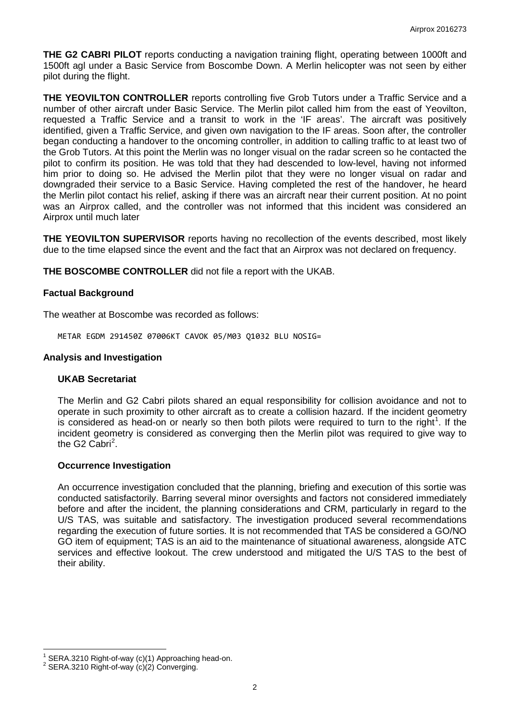**THE G2 CABRI PILOT** reports conducting a navigation training flight, operating between 1000ft and 1500ft agl under a Basic Service from Boscombe Down. A Merlin helicopter was not seen by either pilot during the flight.

**THE YEOVILTON CONTROLLER** reports controlling five Grob Tutors under a Traffic Service and a number of other aircraft under Basic Service. The Merlin pilot called him from the east of Yeovilton, requested a Traffic Service and a transit to work in the 'IF areas'. The aircraft was positively identified, given a Traffic Service, and given own navigation to the IF areas. Soon after, the controller began conducting a handover to the oncoming controller, in addition to calling traffic to at least two of the Grob Tutors. At this point the Merlin was no longer visual on the radar screen so he contacted the pilot to confirm its position. He was told that they had descended to low-level, having not informed him prior to doing so. He advised the Merlin pilot that they were no longer visual on radar and downgraded their service to a Basic Service. Having completed the rest of the handover, he heard the Merlin pilot contact his relief, asking if there was an aircraft near their current position. At no point was an Airprox called, and the controller was not informed that this incident was considered an Airprox until much later

**THE YEOVILTON SUPERVISOR** reports having no recollection of the events described, most likely due to the time elapsed since the event and the fact that an Airprox was not declared on frequency.

**THE BOSCOMBE CONTROLLER** did not file a report with the UKAB.

## **Factual Background**

The weather at Boscombe was recorded as follows:

METAR EGDM 291450Z 07006KT CAVOK 05/M03 Q1032 BLU NOSIG=

#### **Analysis and Investigation**

## **UKAB Secretariat**

The Merlin and G2 Cabri pilots shared an equal responsibility for collision avoidance and not to operate in such proximity to other aircraft as to create a collision hazard. If the incident geometry is considered as head-on or nearly so then both pilots were required to turn to the right<sup>[1](#page-1-0)</sup>. If the incident geometry is considered as converging then the Merlin pilot was required to give way to the G[2](#page-1-1) Cabri<sup>2</sup>.

#### **Occurrence Investigation**

An occurrence investigation concluded that the planning, briefing and execution of this sortie was conducted satisfactorily. Barring several minor oversights and factors not considered immediately before and after the incident, the planning considerations and CRM, particularly in regard to the U/S TAS, was suitable and satisfactory. The investigation produced several recommendations regarding the execution of future sorties. It is not recommended that TAS be considered a GO/NO GO item of equipment; TAS is an aid to the maintenance of situational awareness, alongside ATC services and effective lookout. The crew understood and mitigated the U/S TAS to the best of their ability.

<span id="page-1-0"></span><sup>&</sup>lt;sup>1</sup> SERA.3210 Right-of-way (c)(1) Approaching head-on.<br><sup>2</sup> SERA.3210 Right-of-way (c)(2) Converging.

<span id="page-1-1"></span>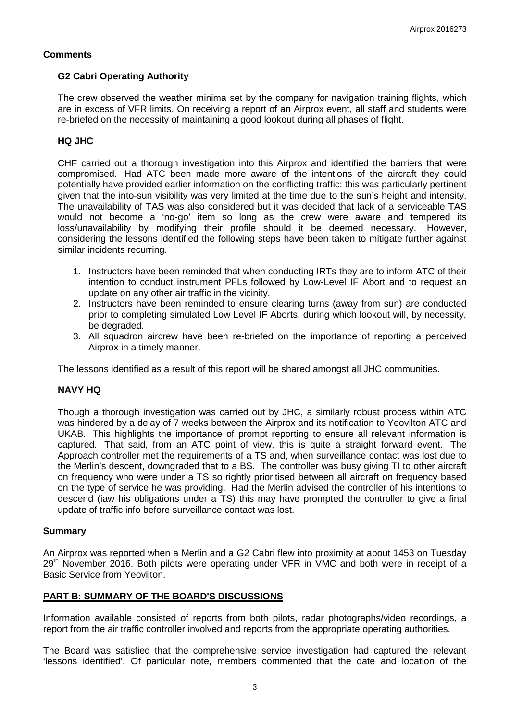## **Comments**

## **G2 Cabri Operating Authority**

The crew observed the weather minima set by the company for navigation training flights, which are in excess of VFR limits. On receiving a report of an Airprox event, all staff and students were re-briefed on the necessity of maintaining a good lookout during all phases of flight.

# **HQ JHC**

CHF carried out a thorough investigation into this Airprox and identified the barriers that were compromised. Had ATC been made more aware of the intentions of the aircraft they could potentially have provided earlier information on the conflicting traffic: this was particularly pertinent given that the into-sun visibility was very limited at the time due to the sun's height and intensity. The unavailability of TAS was also considered but it was decided that lack of a serviceable TAS would not become a 'no-go' item so long as the crew were aware and tempered its loss/unavailability by modifying their profile should it be deemed necessary. However, considering the lessons identified the following steps have been taken to mitigate further against similar incidents recurring.

- 1. Instructors have been reminded that when conducting IRTs they are to inform ATC of their intention to conduct instrument PFLs followed by Low-Level IF Abort and to request an update on any other air traffic in the vicinity.
- 2. Instructors have been reminded to ensure clearing turns (away from sun) are conducted prior to completing simulated Low Level IF Aborts, during which lookout will, by necessity, be degraded.
- 3. All squadron aircrew have been re-briefed on the importance of reporting a perceived Airprox in a timely manner.

The lessons identified as a result of this report will be shared amongst all JHC communities.

# **NAVY HQ**

Though a thorough investigation was carried out by JHC, a similarly robust process within ATC was hindered by a delay of 7 weeks between the Airprox and its notification to Yeovilton ATC and UKAB. This highlights the importance of prompt reporting to ensure all relevant information is captured. That said, from an ATC point of view, this is quite a straight forward event. The Approach controller met the requirements of a TS and, when surveillance contact was lost due to the Merlin's descent, downgraded that to a BS. The controller was busy giving TI to other aircraft on frequency who were under a TS so rightly prioritised between all aircraft on frequency based on the type of service he was providing. Had the Merlin advised the controller of his intentions to descend (iaw his obligations under a TS) this may have prompted the controller to give a final update of traffic info before surveillance contact was lost.

## **Summary**

An Airprox was reported when a Merlin and a G2 Cabri flew into proximity at about 1453 on Tuesday  $29<sup>th</sup>$  November 2016. Both pilots were operating under VFR in VMC and both were in receipt of a Basic Service from Yeovilton.

# **PART B: SUMMARY OF THE BOARD'S DISCUSSIONS**

Information available consisted of reports from both pilots, radar photographs/video recordings, a report from the air traffic controller involved and reports from the appropriate operating authorities.

The Board was satisfied that the comprehensive service investigation had captured the relevant 'lessons identified'. Of particular note, members commented that the date and location of the